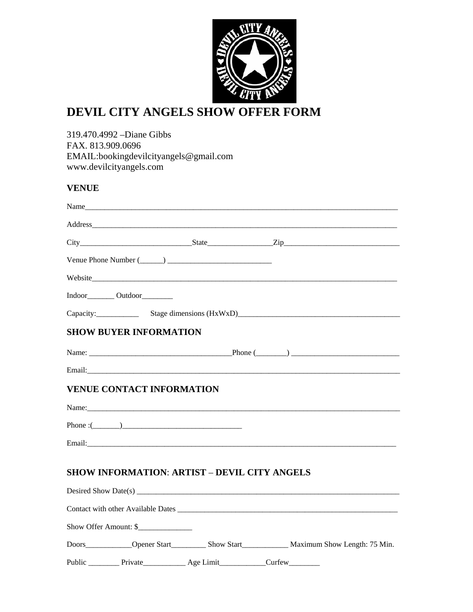

# **DEVIL CITY ANGELS SHOW OFFER FORM**

319.470.4992 –Diane Gibbs FAX. 813.909.0696 EMAIL:bookingdevilcityangels@gmail.com www.devilcityangels.com

## **VENUE**

|                                    |                                                                                                                                                                                                                                | $City$ $State$ $Zip$ $Zip$         |
|------------------------------------|--------------------------------------------------------------------------------------------------------------------------------------------------------------------------------------------------------------------------------|------------------------------------|
|                                    |                                                                                                                                                                                                                                |                                    |
|                                    |                                                                                                                                                                                                                                |                                    |
| Indoor__________ Outdoor__________ |                                                                                                                                                                                                                                |                                    |
|                                    |                                                                                                                                                                                                                                | Capacity: Stage dimensions (HxWxD) |
| <b>SHOW BUYER INFORMATION</b>      |                                                                                                                                                                                                                                |                                    |
|                                    |                                                                                                                                                                                                                                |                                    |
|                                    |                                                                                                                                                                                                                                |                                    |
| <b>VENUE CONTACT INFORMATION</b>   |                                                                                                                                                                                                                                |                                    |
|                                    |                                                                                                                                                                                                                                |                                    |
| Phone: $(\_\_)$                    |                                                                                                                                                                                                                                |                                    |
|                                    | Email: expression of the contract of the contract of the contract of the contract of the contract of the contract of the contract of the contract of the contract of the contract of the contract of the contract of the contr |                                    |
|                                    | <b>SHOW INFORMATION: ARTIST – DEVIL CITY ANGELS</b>                                                                                                                                                                            |                                    |
|                                    |                                                                                                                                                                                                                                |                                    |
| Show Offer Amount: \$              |                                                                                                                                                                                                                                |                                    |
|                                    |                                                                                                                                                                                                                                |                                    |
|                                    |                                                                                                                                                                                                                                |                                    |
|                                    | Public ___________ Private______________ Age Limit______________Curfew__________                                                                                                                                               |                                    |